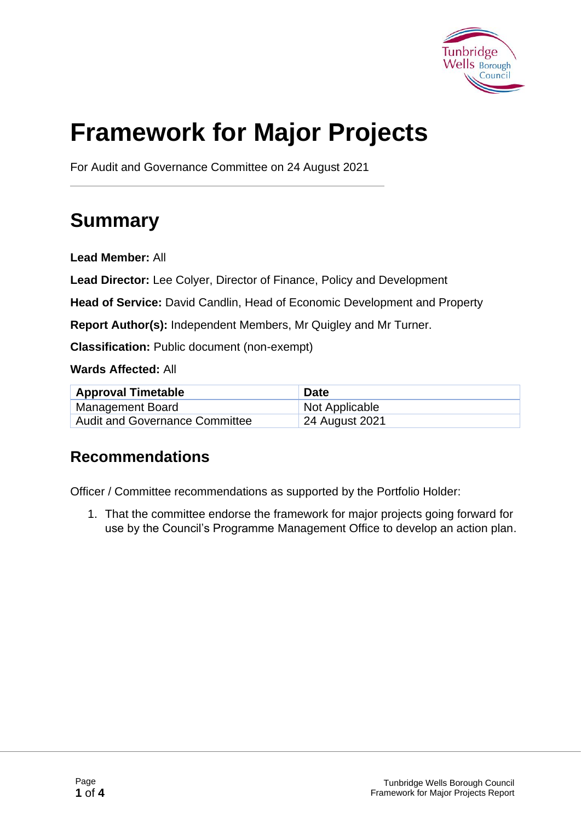

# **Framework for Major Projects**

For Audit and Governance Committee on 24 August 2021

# **Summary**

**Lead Member:** All

**Lead Director:** Lee Colyer, Director of Finance, Policy and Development

**Head of Service:** David Candlin, Head of Economic Development and Property

**Report Author(s):** Independent Members, Mr Quigley and Mr Turner.

**Classification:** Public document (non-exempt)

**Wards Affected:** All

| <b>Approval Timetable</b>             | <b>Date</b>    |
|---------------------------------------|----------------|
| Management Board                      | Not Applicable |
| <b>Audit and Governance Committee</b> | 24 August 2021 |

#### **Recommendations**

Officer / Committee recommendations as supported by the Portfolio Holder:

1. That the committee endorse the framework for major projects going forward for use by the Council's Programme Management Office to develop an action plan.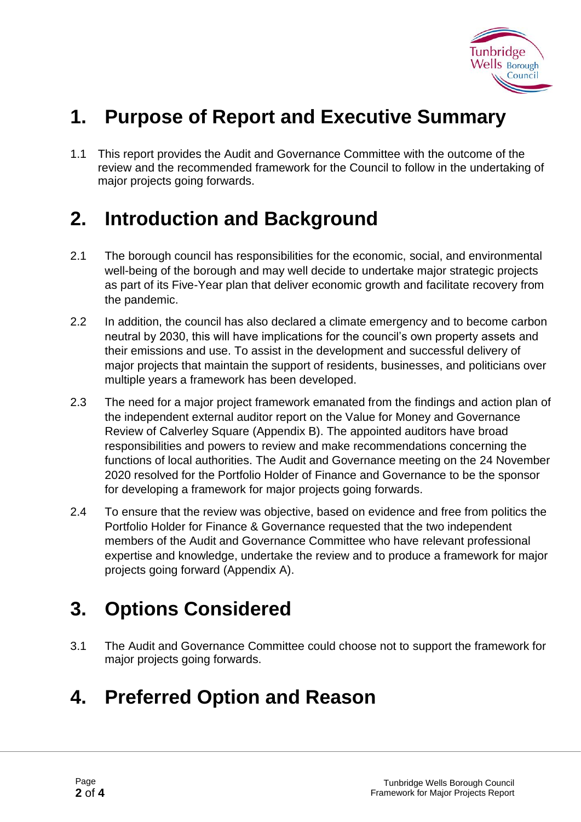

# **1. Purpose of Report and Executive Summary**

1.1 This report provides the Audit and Governance Committee with the outcome of the review and the recommended framework for the Council to follow in the undertaking of major projects going forwards.

### **2. Introduction and Background**

- 2.1 The borough council has responsibilities for the economic, social, and environmental well-being of the borough and may well decide to undertake major strategic projects as part of its Five-Year plan that deliver economic growth and facilitate recovery from the pandemic.
- 2.2 In addition, the council has also declared a climate emergency and to become carbon neutral by 2030, this will have implications for the council's own property assets and their emissions and use. To assist in the development and successful delivery of major projects that maintain the support of residents, businesses, and politicians over multiple years a framework has been developed.
- 2.3 The need for a major project framework emanated from the findings and action plan of the independent external auditor report on the Value for Money and Governance Review of Calverley Square (Appendix B). The appointed auditors have broad responsibilities and powers to review and make recommendations concerning the functions of local authorities. The Audit and Governance meeting on the 24 November 2020 resolved for the Portfolio Holder of Finance and Governance to be the sponsor for developing a framework for major projects going forwards.
- 2.4 To ensure that the review was objective, based on evidence and free from politics the Portfolio Holder for Finance & Governance requested that the two independent members of the Audit and Governance Committee who have relevant professional expertise and knowledge, undertake the review and to produce a framework for major projects going forward (Appendix A).

### **3. Options Considered**

3.1 The Audit and Governance Committee could choose not to support the framework for major projects going forwards.

### **4. Preferred Option and Reason**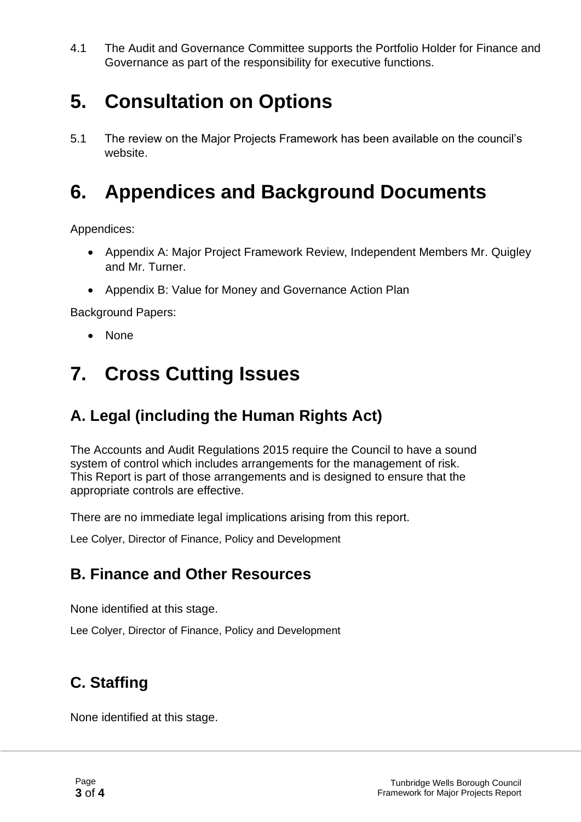4.1 The Audit and Governance Committee supports the Portfolio Holder for Finance and Governance as part of the responsibility for executive functions.

# **5. Consultation on Options**

5.1 The review on the Major Projects Framework has been available on the council's website.

## **6. Appendices and Background Documents**

Appendices:

- Appendix A: Major Project Framework Review, Independent Members Mr. Quigley and Mr. Turner.
- Appendix B: Value for Money and Governance Action Plan

Background Papers:

• None

### **7. Cross Cutting Issues**

#### **A. Legal (including the Human Rights Act)**

The Accounts and Audit Regulations 2015 require the Council to have a sound system of control which includes arrangements for the management of risk. This Report is part of those arrangements and is designed to ensure that the appropriate controls are effective.

There are no immediate legal implications arising from this report.

Lee Colyer, Director of Finance, Policy and Development

#### **B. Finance and Other Resources**

None identified at this stage.

Lee Colyer, Director of Finance, Policy and Development

#### **C. Staffing**

None identified at this stage.